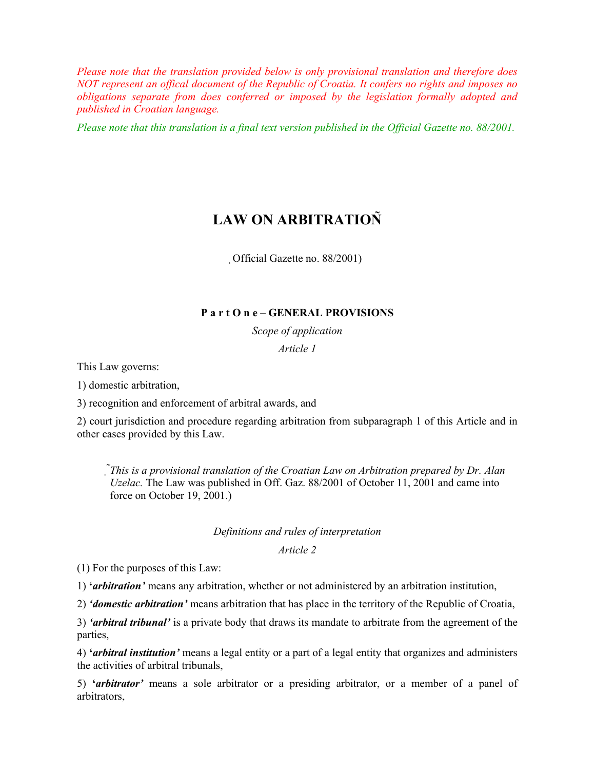Please note that the translation provided below is only provisional translation and therefore does NOT represent an offical document of the Republic of Croatia. It confers no rights and imposes no obligations separate from does conferred or imposed by the legislation formally adopted and published in Croatian language.

Please note that this translation is a final text version published in the Official Gazette no. 88/2001.

# LAW ON ARBITRATION

Official Gazette no. 88/2001)

## P a r t O n e – GENERAL PROVISIONS

Scope of application Article 1

This Law governs:

1) domestic arbitration,

3) recognition and enforcement of arbitral awards, and

2) court jurisdiction and procedure regarding arbitration from subparagraph 1 of this Article and in other cases provided by this Law.

This is a provisional translation of the Croatian Law on Arbitration prepared by Dr. Alan Uzelac. The Law was published in Off. Gaz. 88/2001 of October 11, 2001 and came into force on October 19, 2001.)

#### Definitions and rules of interpretation

Article 2

(1) For the purposes of this Law:

1) 'arbitration' means any arbitration, whether or not administered by an arbitration institution,

2) 'domestic arbitration' means arbitration that has place in the territory of the Republic of Croatia,

3) 'arbitral tribunal' is a private body that draws its mandate to arbitrate from the agreement of the parties,

4) 'arbitral institution' means a legal entity or a part of a legal entity that organizes and administers the activities of arbitral tribunals,

5) 'arbitrator' means a sole arbitrator or a presiding arbitrator, or a member of a panel of arbitrators,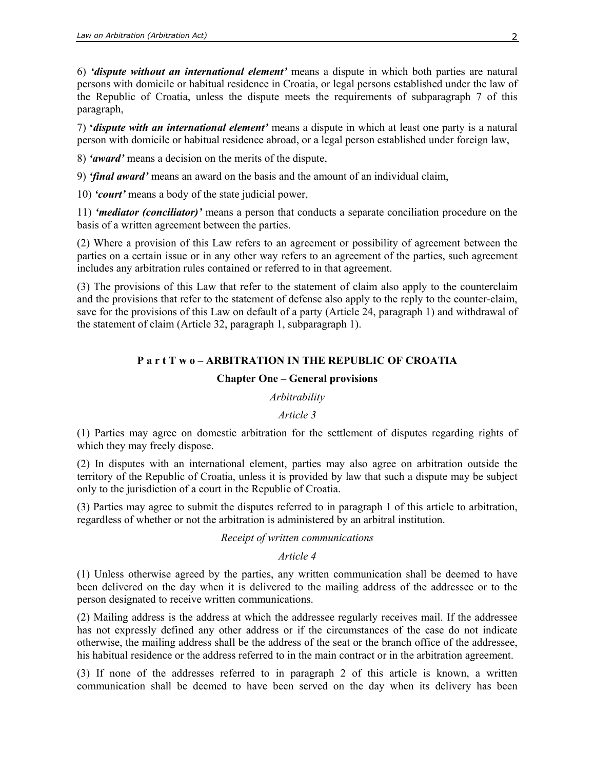6) 'dispute without an international element' means a dispute in which both parties are natural persons with domicile or habitual residence in Croatia, or legal persons established under the law of the Republic of Croatia, unless the dispute meets the requirements of subparagraph 7 of this paragraph,

7) 'dispute with an international element' means a dispute in which at least one party is a natural person with domicile or habitual residence abroad, or a legal person established under foreign law,

8) 'award' means a decision on the merits of the dispute,

9) *'final award'* means an award on the basis and the amount of an individual claim,

10) 'court' means a body of the state judicial power,

11) 'mediator (conciliator)' means a person that conducts a separate conciliation procedure on the basis of a written agreement between the parties.

(2) Where a provision of this Law refers to an agreement or possibility of agreement between the parties on a certain issue or in any other way refers to an agreement of the parties, such agreement includes any arbitration rules contained or referred to in that agreement.

(3) The provisions of this Law that refer to the statement of claim also apply to the counterclaim and the provisions that refer to the statement of defense also apply to the reply to the counter-claim, save for the provisions of this Law on default of a party (Article 24, paragraph 1) and withdrawal of the statement of claim (Article 32, paragraph 1, subparagraph 1).

### P a r t T w o – ARBITRATION IN THE REPUBLIC OF CROATIA

#### Chapter One – General provisions

#### Arbitrability

#### Article 3

(1) Parties may agree on domestic arbitration for the settlement of disputes regarding rights of which they may freely dispose.

(2) In disputes with an international element, parties may also agree on arbitration outside the territory of the Republic of Croatia, unless it is provided by law that such a dispute may be subject only to the jurisdiction of a court in the Republic of Croatia.

(3) Parties may agree to submit the disputes referred to in paragraph 1 of this article to arbitration, regardless of whether or not the arbitration is administered by an arbitral institution.

#### Receipt of written communications

#### Article 4

(1) Unless otherwise agreed by the parties, any written communication shall be deemed to have been delivered on the day when it is delivered to the mailing address of the addressee or to the person designated to receive written communications.

(2) Mailing address is the address at which the addressee regularly receives mail. If the addressee has not expressly defined any other address or if the circumstances of the case do not indicate otherwise, the mailing address shall be the address of the seat or the branch office of the addressee, his habitual residence or the address referred to in the main contract or in the arbitration agreement.

(3) If none of the addresses referred to in paragraph 2 of this article is known, a written communication shall be deemed to have been served on the day when its delivery has been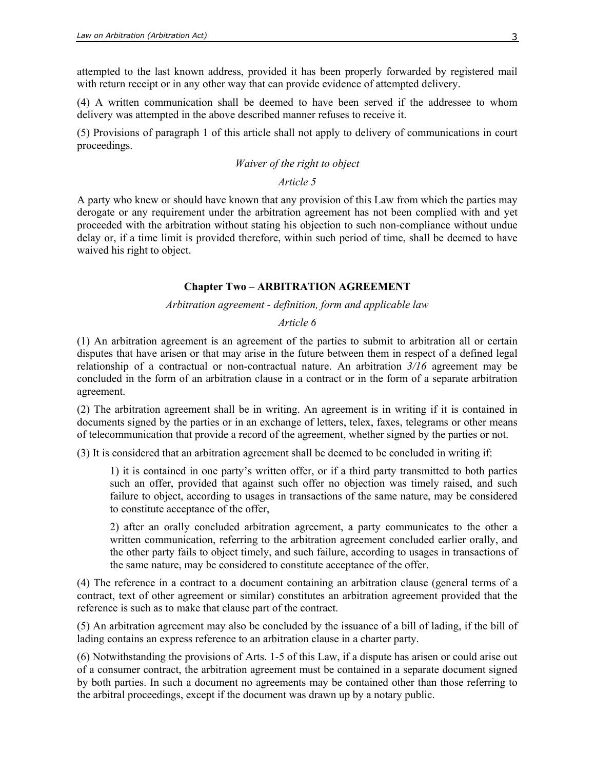attempted to the last known address, provided it has been properly forwarded by registered mail with return receipt or in any other way that can provide evidence of attempted delivery.

(4) A written communication shall be deemed to have been served if the addressee to whom delivery was attempted in the above described manner refuses to receive it.

(5) Provisions of paragraph 1 of this article shall not apply to delivery of communications in court proceedings.

### Waiver of the right to object

## Article 5

A party who knew or should have known that any provision of this Law from which the parties may derogate or any requirement under the arbitration agreement has not been complied with and yet proceeded with the arbitration without stating his objection to such non-compliance without undue delay or, if a time limit is provided therefore, within such period of time, shall be deemed to have waived his right to object.

#### Chapter Two – ARBITRATION AGREEMENT

#### Arbitration agreement - definition, form and applicable law

#### Article 6

(1) An arbitration agreement is an agreement of the parties to submit to arbitration all or certain disputes that have arisen or that may arise in the future between them in respect of a defined legal relationship of a contractual or non-contractual nature. An arbitration 3/16 agreement may be concluded in the form of an arbitration clause in a contract or in the form of a separate arbitration agreement.

(2) The arbitration agreement shall be in writing. An agreement is in writing if it is contained in documents signed by the parties or in an exchange of letters, telex, faxes, telegrams or other means of telecommunication that provide a record of the agreement, whether signed by the parties or not.

(3) It is considered that an arbitration agreement shall be deemed to be concluded in writing if:

1) it is contained in one party's written offer, or if a third party transmitted to both parties such an offer, provided that against such offer no objection was timely raised, and such failure to object, according to usages in transactions of the same nature, may be considered to constitute acceptance of the offer,

2) after an orally concluded arbitration agreement, a party communicates to the other a written communication, referring to the arbitration agreement concluded earlier orally, and the other party fails to object timely, and such failure, according to usages in transactions of the same nature, may be considered to constitute acceptance of the offer.

(4) The reference in a contract to a document containing an arbitration clause (general terms of a contract, text of other agreement or similar) constitutes an arbitration agreement provided that the reference is such as to make that clause part of the contract.

(5) An arbitration agreement may also be concluded by the issuance of a bill of lading, if the bill of lading contains an express reference to an arbitration clause in a charter party.

(6) Notwithstanding the provisions of Arts. 1-5 of this Law, if a dispute has arisen or could arise out of a consumer contract, the arbitration agreement must be contained in a separate document signed by both parties. In such a document no agreements may be contained other than those referring to the arbitral proceedings, except if the document was drawn up by a notary public.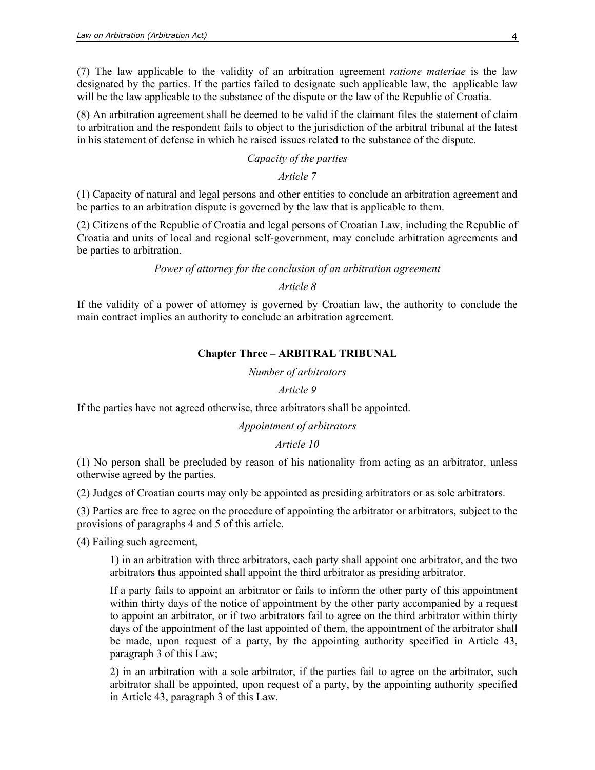(7) The law applicable to the validity of an arbitration agreement ratione materiae is the law designated by the parties. If the parties failed to designate such applicable law, the applicable law will be the law applicable to the substance of the dispute or the law of the Republic of Croatia.

(8) An arbitration agreement shall be deemed to be valid if the claimant files the statement of claim to arbitration and the respondent fails to object to the jurisdiction of the arbitral tribunal at the latest in his statement of defense in which he raised issues related to the substance of the dispute.

## Capacity of the parties

Article 7

(1) Capacity of natural and legal persons and other entities to conclude an arbitration agreement and be parties to an arbitration dispute is governed by the law that is applicable to them.

(2) Citizens of the Republic of Croatia and legal persons of Croatian Law, including the Republic of Croatia and units of local and regional self-government, may conclude arbitration agreements and be parties to arbitration.

Power of attorney for the conclusion of an arbitration agreement

Article 8

If the validity of a power of attorney is governed by Croatian law, the authority to conclude the main contract implies an authority to conclude an arbitration agreement.

#### Chapter Three – ARBITRAL TRIBUNAL

Number of arbitrators

#### Article 9

If the parties have not agreed otherwise, three arbitrators shall be appointed.

Appointment of arbitrators

### Article 10

(1) No person shall be precluded by reason of his nationality from acting as an arbitrator, unless otherwise agreed by the parties.

(2) Judges of Croatian courts may only be appointed as presiding arbitrators or as sole arbitrators.

(3) Parties are free to agree on the procedure of appointing the arbitrator or arbitrators, subject to the provisions of paragraphs 4 and 5 of this article.

(4) Failing such agreement,

1) in an arbitration with three arbitrators, each party shall appoint one arbitrator, and the two arbitrators thus appointed shall appoint the third arbitrator as presiding arbitrator.

If a party fails to appoint an arbitrator or fails to inform the other party of this appointment within thirty days of the notice of appointment by the other party accompanied by a request to appoint an arbitrator, or if two arbitrators fail to agree on the third arbitrator within thirty days of the appointment of the last appointed of them, the appointment of the arbitrator shall be made, upon request of a party, by the appointing authority specified in Article 43, paragraph 3 of this Law;

2) in an arbitration with a sole arbitrator, if the parties fail to agree on the arbitrator, such arbitrator shall be appointed, upon request of a party, by the appointing authority specified in Article 43, paragraph 3 of this Law.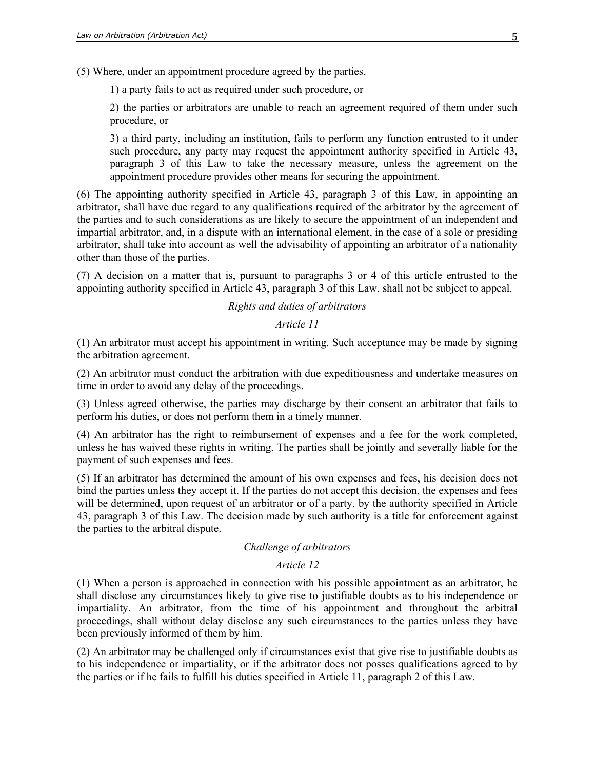(5) Where, under an appointment procedure agreed by the parties,

1) a party fails to act as required under such procedure, or

2) the parties or arbitrators are unable to reach an agreement required of them under such procedure, or

3) a third party, including an institution, fails to perform any function entrusted to it under such procedure, any party may request the appointment authority specified in Article 43, paragraph 3 of this Law to take the necessary measure, unless the agreement on the appointment procedure provides other means for securing the appointment.

(6) The appointing authority specified in Article 43, paragraph 3 of this Law, in appointing an arbitrator, shall have due regard to any qualifications required of the arbitrator by the agreement of the parties and to such considerations as are likely to secure the appointment of an independent and impartial arbitrator, and, in a dispute with an international element, in the case of a sole or presiding arbitrator, shall take into account as well the advisability of appointing an arbitrator of a nationality other than those of the parties.

(7) A decision on a matter that is, pursuant to paragraphs 3 or 4 of this article entrusted to the appointing authority specified in Article 43, paragraph 3 of this Law, shall not be subject to appeal.

## Rights and duties of arbitrators

#### Article 11

(1) An arbitrator must accept his appointment in writing. Such acceptance may be made by signing the arbitration agreement.

(2) An arbitrator must conduct the arbitration with due expeditiousness and undertake measures on time in order to avoid any delay of the proceedings.

(3) Unless agreed otherwise, the parties may discharge by their consent an arbitrator that fails to perform his duties, or does not perform them in a timely manner.

(4) An arbitrator has the right to reimbursement of expenses and a fee for the work completed, unless he has waived these rights in writing. The parties shall be jointly and severally liable for the payment of such expenses and fees.

(5) If an arbitrator has determined the amount of his own expenses and fees, his decision does not bind the parties unless they accept it. If the parties do not accept this decision, the expenses and fees will be determined, upon request of an arbitrator or of a party, by the authority specified in Article 43, paragraph 3 of this Law. The decision made by such authority is a title for enforcement against the parties to the arbitral dispute.

#### Challenge of arbitrators

### Article 12

(1) When a person is approached in connection with his possible appointment as an arbitrator, he shall disclose any circumstances likely to give rise to justifiable doubts as to his independence or impartiality. An arbitrator, from the time of his appointment and throughout the arbitral proceedings, shall without delay disclose any such circumstances to the parties unless they have been previously informed of them by him.

(2) An arbitrator may be challenged only if circumstances exist that give rise to justifiable doubts as to his independence or impartiality, or if the arbitrator does not posses qualifications agreed to by the parties or if he fails to fulfill his duties specified in Article 11, paragraph 2 of this Law.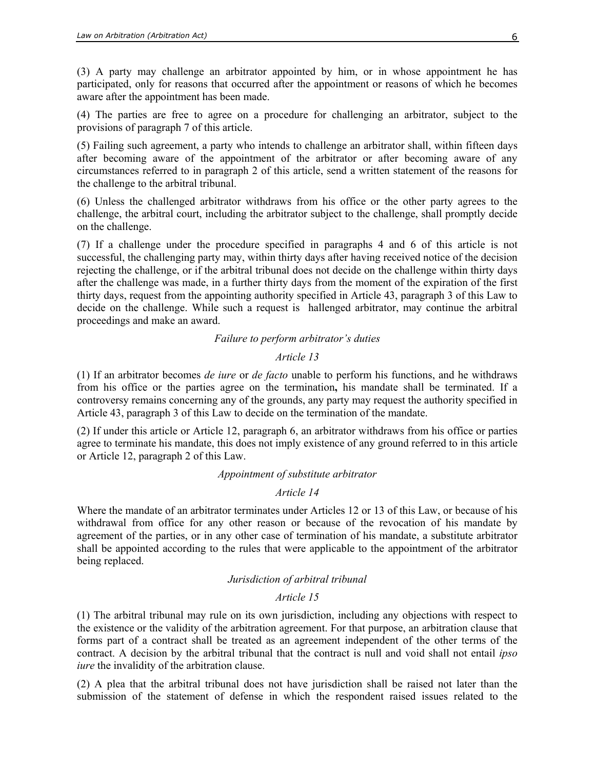(3) A party may challenge an arbitrator appointed by him, or in whose appointment he has participated, only for reasons that occurred after the appointment or reasons of which he becomes aware after the appointment has been made.

(4) The parties are free to agree on a procedure for challenging an arbitrator, subject to the provisions of paragraph 7 of this article.

(5) Failing such agreement, a party who intends to challenge an arbitrator shall, within fifteen days after becoming aware of the appointment of the arbitrator or after becoming aware of any circumstances referred to in paragraph 2 of this article, send a written statement of the reasons for the challenge to the arbitral tribunal.

(6) Unless the challenged arbitrator withdraws from his office or the other party agrees to the challenge, the arbitral court, including the arbitrator subject to the challenge, shall promptly decide on the challenge.

(7) If a challenge under the procedure specified in paragraphs 4 and 6 of this article is not successful, the challenging party may, within thirty days after having received notice of the decision rejecting the challenge, or if the arbitral tribunal does not decide on the challenge within thirty days after the challenge was made, in a further thirty days from the moment of the expiration of the first thirty days, request from the appointing authority specified in Article 43, paragraph 3 of this Law to decide on the challenge. While such a request is hallenged arbitrator, may continue the arbitral proceedings and make an award.

#### Failure to perform arbitrator's duties

#### Article 13

(1) If an arbitrator becomes de iure or de facto unable to perform his functions, and he withdraws from his office or the parties agree on the termination, his mandate shall be terminated. If a controversy remains concerning any of the grounds, any party may request the authority specified in Article 43, paragraph 3 of this Law to decide on the termination of the mandate.

(2) If under this article or Article 12, paragraph 6, an arbitrator withdraws from his office or parties agree to terminate his mandate, this does not imply existence of any ground referred to in this article or Article 12, paragraph 2 of this Law.

#### Appointment of substitute arbitrator

### Article 14

Where the mandate of an arbitrator terminates under Articles 12 or 13 of this Law, or because of his withdrawal from office for any other reason or because of the revocation of his mandate by agreement of the parties, or in any other case of termination of his mandate, a substitute arbitrator shall be appointed according to the rules that were applicable to the appointment of the arbitrator being replaced.

### Jurisdiction of arbitral tribunal

#### Article 15

(1) The arbitral tribunal may rule on its own jurisdiction, including any objections with respect to the existence or the validity of the arbitration agreement. For that purpose, an arbitration clause that forms part of a contract shall be treated as an agreement independent of the other terms of the contract. A decision by the arbitral tribunal that the contract is null and void shall not entail *ipso* iure the invalidity of the arbitration clause.

(2) A plea that the arbitral tribunal does not have jurisdiction shall be raised not later than the submission of the statement of defense in which the respondent raised issues related to the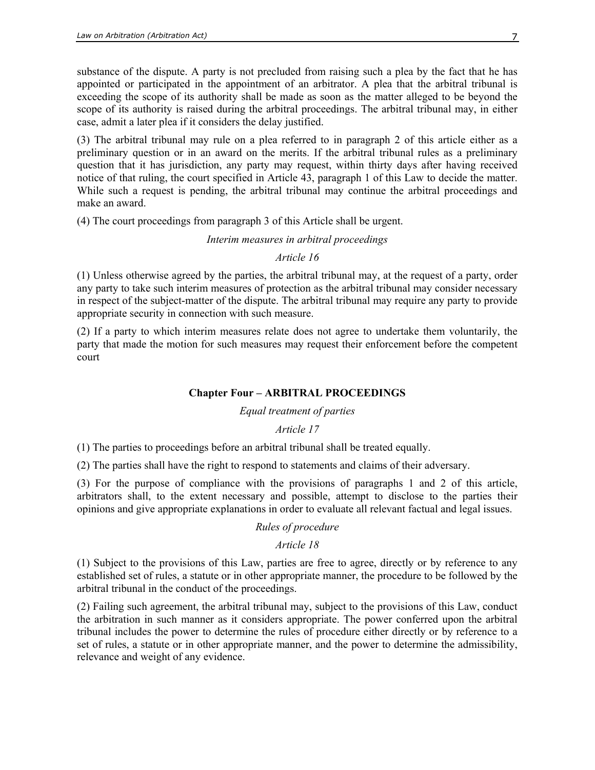substance of the dispute. A party is not precluded from raising such a plea by the fact that he has appointed or participated in the appointment of an arbitrator. A plea that the arbitral tribunal is exceeding the scope of its authority shall be made as soon as the matter alleged to be beyond the scope of its authority is raised during the arbitral proceedings. The arbitral tribunal may, in either case, admit a later plea if it considers the delay justified.

(3) The arbitral tribunal may rule on a plea referred to in paragraph 2 of this article either as a preliminary question or in an award on the merits. If the arbitral tribunal rules as a preliminary question that it has jurisdiction, any party may request, within thirty days after having received notice of that ruling, the court specified in Article 43, paragraph 1 of this Law to decide the matter. While such a request is pending, the arbitral tribunal may continue the arbitral proceedings and make an award.

(4) The court proceedings from paragraph 3 of this Article shall be urgent.

### Interim measures in arbitral proceedings

### Article 16

(1) Unless otherwise agreed by the parties, the arbitral tribunal may, at the request of a party, order any party to take such interim measures of protection as the arbitral tribunal may consider necessary in respect of the subject-matter of the dispute. The arbitral tribunal may require any party to provide appropriate security in connection with such measure.

(2) If a party to which interim measures relate does not agree to undertake them voluntarily, the party that made the motion for such measures may request their enforcement before the competent court

#### Chapter Four – ARBITRAL PROCEEDINGS

## Equal treatment of parties

#### Article 17

(1) The parties to proceedings before an arbitral tribunal shall be treated equally.

(2) The parties shall have the right to respond to statements and claims of their adversary.

(3) For the purpose of compliance with the provisions of paragraphs 1 and 2 of this article, arbitrators shall, to the extent necessary and possible, attempt to disclose to the parties their opinions and give appropriate explanations in order to evaluate all relevant factual and legal issues.

#### Rules of procedure

### Article 18

(1) Subject to the provisions of this Law, parties are free to agree, directly or by reference to any established set of rules, a statute or in other appropriate manner, the procedure to be followed by the arbitral tribunal in the conduct of the proceedings.

(2) Failing such agreement, the arbitral tribunal may, subject to the provisions of this Law, conduct the arbitration in such manner as it considers appropriate. The power conferred upon the arbitral tribunal includes the power to determine the rules of procedure either directly or by reference to a set of rules, a statute or in other appropriate manner, and the power to determine the admissibility, relevance and weight of any evidence.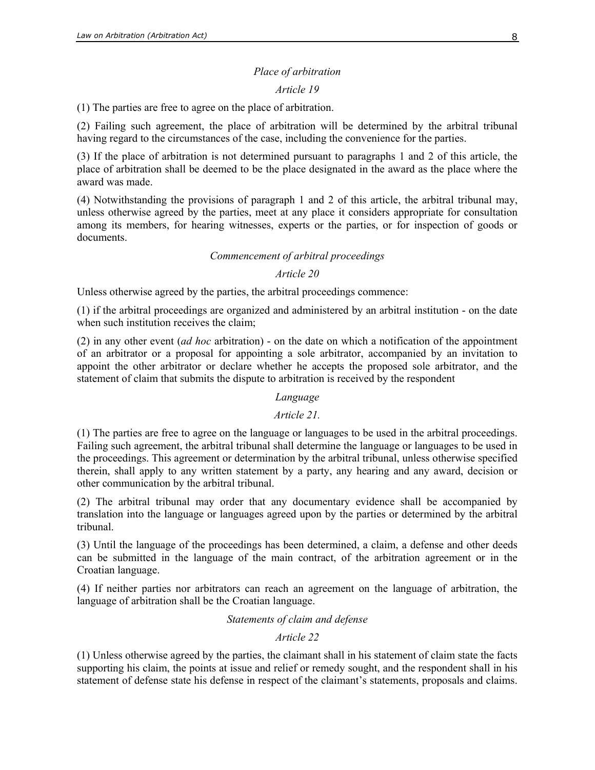# Place of arbitration Article 19

(1) The parties are free to agree on the place of arbitration.

(2) Failing such agreement, the place of arbitration will be determined by the arbitral tribunal having regard to the circumstances of the case, including the convenience for the parties.

(3) If the place of arbitration is not determined pursuant to paragraphs 1 and 2 of this article, the place of arbitration shall be deemed to be the place designated in the award as the place where the award was made.

(4) Notwithstanding the provisions of paragraph 1 and 2 of this article, the arbitral tribunal may, unless otherwise agreed by the parties, meet at any place it considers appropriate for consultation among its members, for hearing witnesses, experts or the parties, or for inspection of goods or documents.

### Commencement of arbitral proceedings

#### Article 20

Unless otherwise agreed by the parties, the arbitral proceedings commence:

(1) if the arbitral proceedings are organized and administered by an arbitral institution - on the date when such institution receives the claim;

(2) in any other event (*ad hoc* arbitration) - on the date on which a notification of the appointment of an arbitrator or a proposal for appointing a sole arbitrator, accompanied by an invitation to appoint the other arbitrator or declare whether he accepts the proposed sole arbitrator, and the statement of claim that submits the dispute to arbitration is received by the respondent

### Language

#### Article 21.

(1) The parties are free to agree on the language or languages to be used in the arbitral proceedings. Failing such agreement, the arbitral tribunal shall determine the language or languages to be used in the proceedings. This agreement or determination by the arbitral tribunal, unless otherwise specified therein, shall apply to any written statement by a party, any hearing and any award, decision or other communication by the arbitral tribunal.

(2) The arbitral tribunal may order that any documentary evidence shall be accompanied by translation into the language or languages agreed upon by the parties or determined by the arbitral tribunal.

(3) Until the language of the proceedings has been determined, a claim, a defense and other deeds can be submitted in the language of the main contract, of the arbitration agreement or in the Croatian language.

(4) If neither parties nor arbitrators can reach an agreement on the language of arbitration, the language of arbitration shall be the Croatian language.

#### Statements of claim and defense

### Article 22

(1) Unless otherwise agreed by the parties, the claimant shall in his statement of claim state the facts supporting his claim, the points at issue and relief or remedy sought, and the respondent shall in his statement of defense state his defense in respect of the claimant's statements, proposals and claims.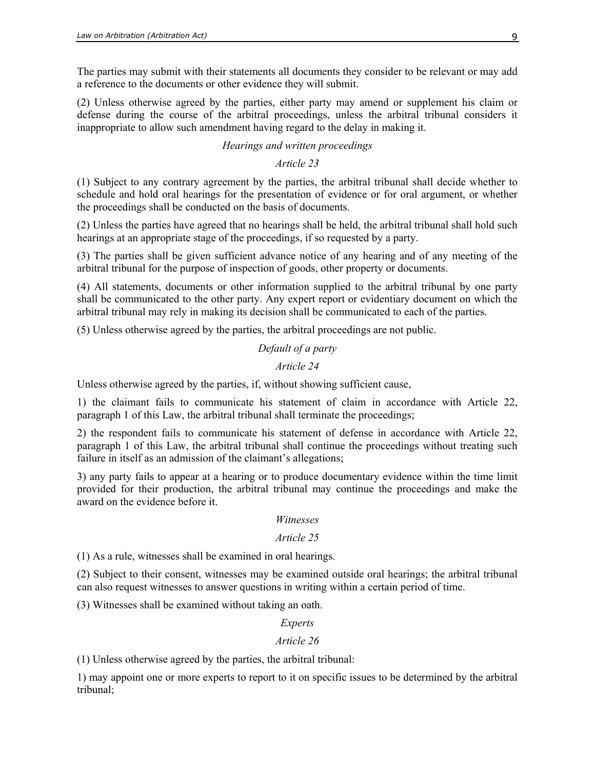The parties may submit with their statements all documents they consider to be relevant or may add a reference to the documents or other evidence they will submit.

(2) Unless otherwise agreed by the parties, either party may amend or supplement his claim or defense during the course of the arbitral proceedings, unless the arbitral tribunal considers it inappropriate to allow such amendment having regard to the delay in making it.

#### Hearings and written proceedings

Article 23

(1) Subject to any contrary agreement by the parties, the arbitral tribunal shall decide whether to schedule and hold oral hearings for the presentation of evidence or for oral argument, or whether the proceedings shall be conducted on the basis of documents.

(2) Unless the parties have agreed that no hearings shall be held, the arbitral tribunal shall hold such hearings at an appropriate stage of the proceedings, if so requested by a party.

(3) The parties shall be given sufficient advance notice of any hearing and of any meeting of the arbitral tribunal for the purpose of inspection of goods, other property or documents.

(4) All statements, documents or other information supplied to the arbitral tribunal by one party shall be communicated to the other party. Any expert report or evidentiary document on which the arbitral tribunal may rely in making its decision shall be communicated to each of the parties.

(5) Unless otherwise agreed by the parties, the arbitral proceedings are not public.

## Default of a party

## Article 24

Unless otherwise agreed by the parties, if, without showing sufficient cause,

1) the claimant fails to communicate his statement of claim in accordance with Article 22, paragraph 1 of this Law, the arbitral tribunal shall terminate the proceedings;

2) the respondent fails to communicate his statement of defense in accordance with Article 22, paragraph 1 of this Law, the arbitral tribunal shall continue the proceedings without treating such failure in itself as an admission of the claimant's allegations;

3) any party fails to appear at a hearing or to produce documentary evidence within the time limit provided for their production, the arbitral tribunal may continue the proceedings and make the award on the evidence before it.

## Witnesses

### Article 25

(1) As a rule, witnesses shall be examined in oral hearings.

(2) Subject to their consent, witnesses may be examined outside oral hearings; the arbitral tribunal can also request witnesses to answer questions in writing within a certain period of time.

(3) Witnesses shall be examined without taking an oath.

#### Experts

#### Article 26

(1) Unless otherwise agreed by the parties, the arbitral tribunal:

1) may appoint one or more experts to report to it on specific issues to be determined by the arbitral tribunal;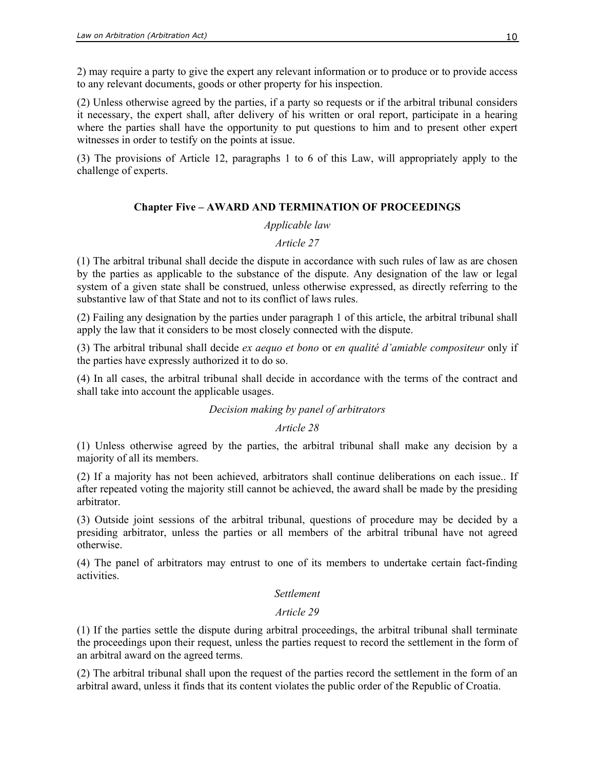2) may require a party to give the expert any relevant information or to produce or to provide access to any relevant documents, goods or other property for his inspection.

(2) Unless otherwise agreed by the parties, if a party so requests or if the arbitral tribunal considers it necessary, the expert shall, after delivery of his written or oral report, participate in a hearing where the parties shall have the opportunity to put questions to him and to present other expert witnesses in order to testify on the points at issue.

(3) The provisions of Article 12, paragraphs 1 to 6 of this Law, will appropriately apply to the challenge of experts.

### Chapter Five – AWARD AND TERMINATION OF PROCEEDINGS

Applicable law

## Article 27

(1) The arbitral tribunal shall decide the dispute in accordance with such rules of law as are chosen by the parties as applicable to the substance of the dispute. Any designation of the law or legal system of a given state shall be construed, unless otherwise expressed, as directly referring to the substantive law of that State and not to its conflict of laws rules.

(2) Failing any designation by the parties under paragraph 1 of this article, the arbitral tribunal shall apply the law that it considers to be most closely connected with the dispute.

(3) The arbitral tribunal shall decide ex aequo et bono or en qualité d'amiable compositeur only if the parties have expressly authorized it to do so.

(4) In all cases, the arbitral tribunal shall decide in accordance with the terms of the contract and shall take into account the applicable usages.

#### Decision making by panel of arbitrators

#### Article 28

(1) Unless otherwise agreed by the parties, the arbitral tribunal shall make any decision by a majority of all its members.

(2) If a majority has not been achieved, arbitrators shall continue deliberations on each issue.. If after repeated voting the majority still cannot be achieved, the award shall be made by the presiding arbitrator.

(3) Outside joint sessions of the arbitral tribunal, questions of procedure may be decided by a presiding arbitrator, unless the parties or all members of the arbitral tribunal have not agreed otherwise.

(4) The panel of arbitrators may entrust to one of its members to undertake certain fact-finding activities.

### Settlement

#### Article 29

(1) If the parties settle the dispute during arbitral proceedings, the arbitral tribunal shall terminate the proceedings upon their request, unless the parties request to record the settlement in the form of an arbitral award on the agreed terms.

(2) The arbitral tribunal shall upon the request of the parties record the settlement in the form of an arbitral award, unless it finds that its content violates the public order of the Republic of Croatia.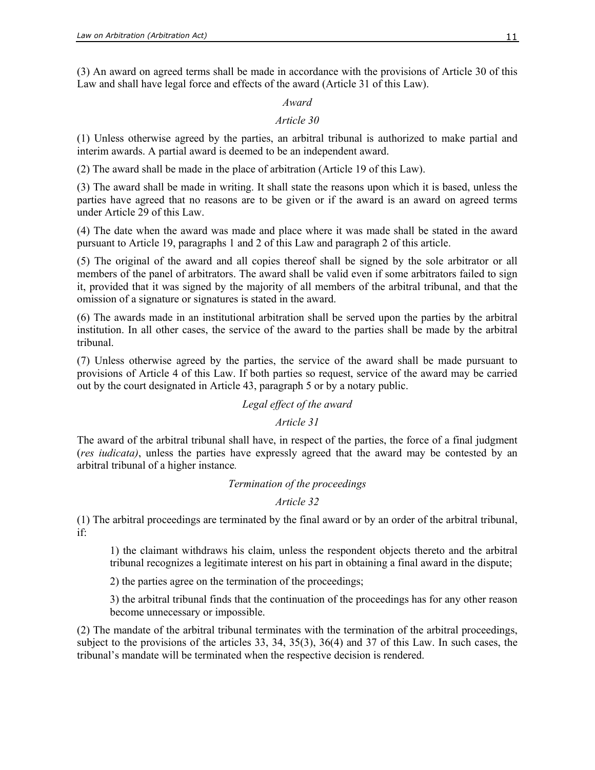(3) An award on agreed terms shall be made in accordance with the provisions of Article 30 of this Law and shall have legal force and effects of the award (Article 31 of this Law).

### Award

## Article 30

(1) Unless otherwise agreed by the parties, an arbitral tribunal is authorized to make partial and interim awards. A partial award is deemed to be an independent award.

(2) The award shall be made in the place of arbitration (Article 19 of this Law).

(3) The award shall be made in writing. It shall state the reasons upon which it is based, unless the parties have agreed that no reasons are to be given or if the award is an award on agreed terms under Article 29 of this Law.

(4) The date when the award was made and place where it was made shall be stated in the award pursuant to Article 19, paragraphs 1 and 2 of this Law and paragraph 2 of this article.

(5) The original of the award and all copies thereof shall be signed by the sole arbitrator or all members of the panel of arbitrators. The award shall be valid even if some arbitrators failed to sign it, provided that it was signed by the majority of all members of the arbitral tribunal, and that the omission of a signature or signatures is stated in the award.

(6) The awards made in an institutional arbitration shall be served upon the parties by the arbitral institution. In all other cases, the service of the award to the parties shall be made by the arbitral tribunal.

(7) Unless otherwise agreed by the parties, the service of the award shall be made pursuant to provisions of Article 4 of this Law. If both parties so request, service of the award may be carried out by the court designated in Article 43, paragraph 5 or by a notary public.

### Legal effect of the award

## Article 31

The award of the arbitral tribunal shall have, in respect of the parties, the force of a final judgment (res iudicata), unless the parties have expressly agreed that the award may be contested by an arbitral tribunal of a higher instance.

### Termination of the proceedings

### Article 32

(1) The arbitral proceedings are terminated by the final award or by an order of the arbitral tribunal, if:

1) the claimant withdraws his claim, unless the respondent objects thereto and the arbitral tribunal recognizes a legitimate interest on his part in obtaining a final award in the dispute;

2) the parties agree on the termination of the proceedings;

3) the arbitral tribunal finds that the continuation of the proceedings has for any other reason become unnecessary or impossible.

(2) The mandate of the arbitral tribunal terminates with the termination of the arbitral proceedings, subject to the provisions of the articles 33, 34, 35(3), 36(4) and 37 of this Law. In such cases, the tribunal's mandate will be terminated when the respective decision is rendered.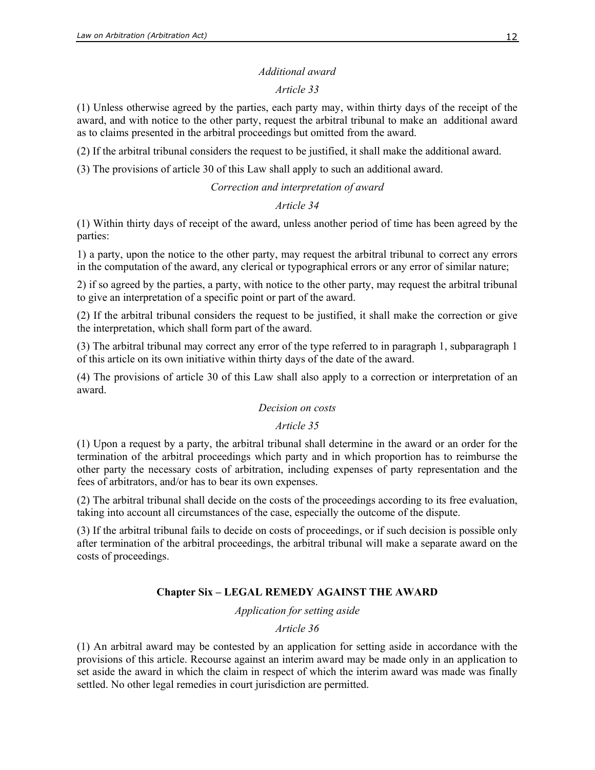## Additional award

## Article 33

(1) Unless otherwise agreed by the parties, each party may, within thirty days of the receipt of the award, and with notice to the other party, request the arbitral tribunal to make an additional award as to claims presented in the arbitral proceedings but omitted from the award.

(2) If the arbitral tribunal considers the request to be justified, it shall make the additional award.

(3) The provisions of article 30 of this Law shall apply to such an additional award.

## Correction and interpretation of award

## Article 34

(1) Within thirty days of receipt of the award, unless another period of time has been agreed by the parties:

1) a party, upon the notice to the other party, may request the arbitral tribunal to correct any errors in the computation of the award, any clerical or typographical errors or any error of similar nature;

2) if so agreed by the parties, a party, with notice to the other party, may request the arbitral tribunal to give an interpretation of a specific point or part of the award.

(2) If the arbitral tribunal considers the request to be justified, it shall make the correction or give the interpretation, which shall form part of the award.

(3) The arbitral tribunal may correct any error of the type referred to in paragraph 1, subparagraph 1 of this article on its own initiative within thirty days of the date of the award.

(4) The provisions of article 30 of this Law shall also apply to a correction or interpretation of an award.

### Decision on costs

## Article 35

(1) Upon a request by a party, the arbitral tribunal shall determine in the award or an order for the termination of the arbitral proceedings which party and in which proportion has to reimburse the other party the necessary costs of arbitration, including expenses of party representation and the fees of arbitrators, and/or has to bear its own expenses.

(2) The arbitral tribunal shall decide on the costs of the proceedings according to its free evaluation, taking into account all circumstances of the case, especially the outcome of the dispute.

(3) If the arbitral tribunal fails to decide on costs of proceedings, or if such decision is possible only after termination of the arbitral proceedings, the arbitral tribunal will make a separate award on the costs of proceedings.

## Chapter Six – LEGAL REMEDY AGAINST THE AWARD

Application for setting aside

## Article 36

(1) An arbitral award may be contested by an application for setting aside in accordance with the provisions of this article. Recourse against an interim award may be made only in an application to set aside the award in which the claim in respect of which the interim award was made was finally settled. No other legal remedies in court jurisdiction are permitted.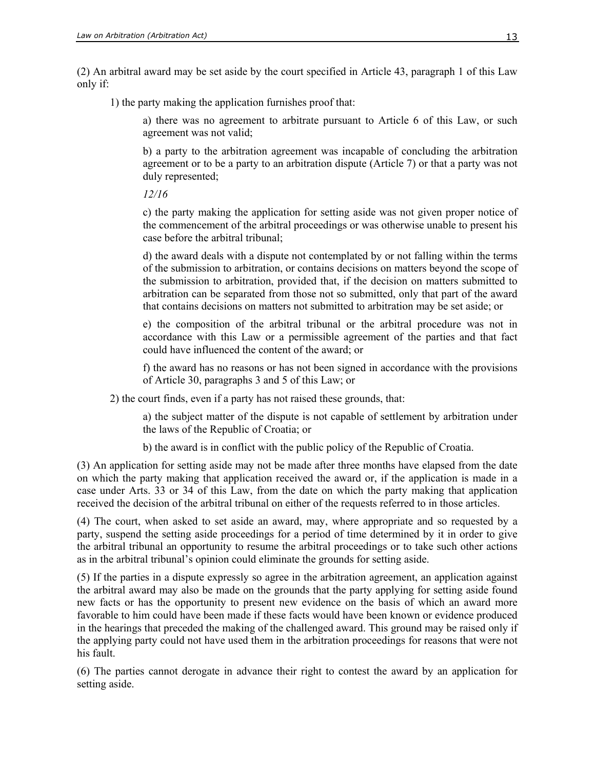(2) An arbitral award may be set aside by the court specified in Article 43, paragraph 1 of this Law only if:

1) the party making the application furnishes proof that:

a) there was no agreement to arbitrate pursuant to Article 6 of this Law, or such agreement was not valid;

b) a party to the arbitration agreement was incapable of concluding the arbitration agreement or to be a party to an arbitration dispute (Article 7) or that a party was not duly represented;

12/16

c) the party making the application for setting aside was not given proper notice of the commencement of the arbitral proceedings or was otherwise unable to present his case before the arbitral tribunal;

d) the award deals with a dispute not contemplated by or not falling within the terms of the submission to arbitration, or contains decisions on matters beyond the scope of the submission to arbitration, provided that, if the decision on matters submitted to arbitration can be separated from those not so submitted, only that part of the award that contains decisions on matters not submitted to arbitration may be set aside; or

e) the composition of the arbitral tribunal or the arbitral procedure was not in accordance with this Law or a permissible agreement of the parties and that fact could have influenced the content of the award; or

f) the award has no reasons or has not been signed in accordance with the provisions of Article 30, paragraphs 3 and 5 of this Law; or

2) the court finds, even if a party has not raised these grounds, that:

a) the subject matter of the dispute is not capable of settlement by arbitration under the laws of the Republic of Croatia; or

b) the award is in conflict with the public policy of the Republic of Croatia.

(3) An application for setting aside may not be made after three months have elapsed from the date on which the party making that application received the award or, if the application is made in a case under Arts. 33 or 34 of this Law, from the date on which the party making that application received the decision of the arbitral tribunal on either of the requests referred to in those articles.

(4) The court, when asked to set aside an award, may, where appropriate and so requested by a party, suspend the setting aside proceedings for a period of time determined by it in order to give the arbitral tribunal an opportunity to resume the arbitral proceedings or to take such other actions as in the arbitral tribunal's opinion could eliminate the grounds for setting aside.

(5) If the parties in a dispute expressly so agree in the arbitration agreement, an application against the arbitral award may also be made on the grounds that the party applying for setting aside found new facts or has the opportunity to present new evidence on the basis of which an award more favorable to him could have been made if these facts would have been known or evidence produced in the hearings that preceded the making of the challenged award. This ground may be raised only if the applying party could not have used them in the arbitration proceedings for reasons that were not his fault.

(6) The parties cannot derogate in advance their right to contest the award by an application for setting aside.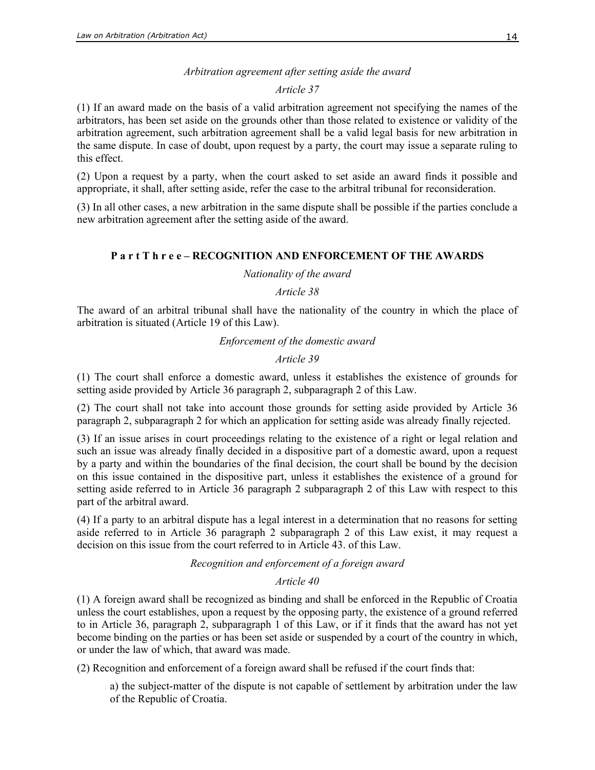## Arbitration agreement after setting aside the award

## Article 37

(1) If an award made on the basis of a valid arbitration agreement not specifying the names of the arbitrators, has been set aside on the grounds other than those related to existence or validity of the arbitration agreement, such arbitration agreement shall be a valid legal basis for new arbitration in the same dispute. In case of doubt, upon request by a party, the court may issue a separate ruling to this effect.

(2) Upon a request by a party, when the court asked to set aside an award finds it possible and appropriate, it shall, after setting aside, refer the case to the arbitral tribunal for reconsideration.

(3) In all other cases, a new arbitration in the same dispute shall be possible if the parties conclude a new arbitration agreement after the setting aside of the award.

## P a r t T h r e e – RECOGNITION AND ENFORCEMENT OF THE AWARDS

## Nationality of the award

## Article 38

The award of an arbitral tribunal shall have the nationality of the country in which the place of arbitration is situated (Article 19 of this Law).

Enforcement of the domestic award

## Article 39

(1) The court shall enforce a domestic award, unless it establishes the existence of grounds for setting aside provided by Article 36 paragraph 2, subparagraph 2 of this Law.

(2) The court shall not take into account those grounds for setting aside provided by Article 36 paragraph 2, subparagraph 2 for which an application for setting aside was already finally rejected.

(3) If an issue arises in court proceedings relating to the existence of a right or legal relation and such an issue was already finally decided in a dispositive part of a domestic award, upon a request by a party and within the boundaries of the final decision, the court shall be bound by the decision on this issue contained in the dispositive part, unless it establishes the existence of a ground for setting aside referred to in Article 36 paragraph 2 subparagraph 2 of this Law with respect to this part of the arbitral award.

(4) If a party to an arbitral dispute has a legal interest in a determination that no reasons for setting aside referred to in Article 36 paragraph 2 subparagraph 2 of this Law exist, it may request a decision on this issue from the court referred to in Article 43. of this Law.

## Recognition and enforcement of a foreign award

## Article 40

(1) A foreign award shall be recognized as binding and shall be enforced in the Republic of Croatia unless the court establishes, upon a request by the opposing party, the existence of a ground referred to in Article 36, paragraph 2, subparagraph 1 of this Law, or if it finds that the award has not yet become binding on the parties or has been set aside or suspended by a court of the country in which, or under the law of which, that award was made.

(2) Recognition and enforcement of a foreign award shall be refused if the court finds that:

a) the subject-matter of the dispute is not capable of settlement by arbitration under the law of the Republic of Croatia.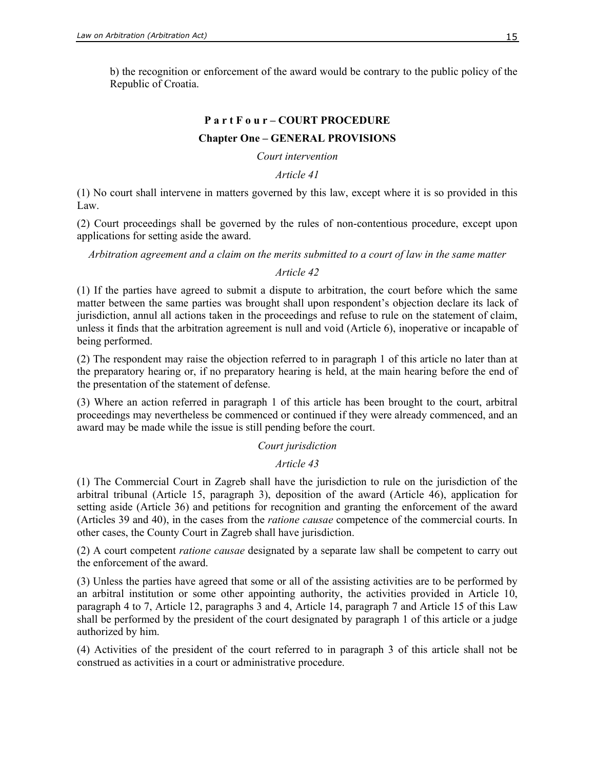b) the recognition or enforcement of the award would be contrary to the public policy of the Republic of Croatia.

# P a r t F o u r – COURT PROCEDURE Chapter One – GENERAL PROVISIONS

### Court intervention

Article 41

(1) No court shall intervene in matters governed by this law, except where it is so provided in this Law.

(2) Court proceedings shall be governed by the rules of non-contentious procedure, except upon applications for setting aside the award.

Arbitration agreement and a claim on the merits submitted to a court of law in the same matter

## Article 42

(1) If the parties have agreed to submit a dispute to arbitration, the court before which the same matter between the same parties was brought shall upon respondent's objection declare its lack of jurisdiction, annul all actions taken in the proceedings and refuse to rule on the statement of claim, unless it finds that the arbitration agreement is null and void (Article 6), inoperative or incapable of being performed.

(2) The respondent may raise the objection referred to in paragraph 1 of this article no later than at the preparatory hearing or, if no preparatory hearing is held, at the main hearing before the end of the presentation of the statement of defense.

(3) Where an action referred in paragraph 1 of this article has been brought to the court, arbitral proceedings may nevertheless be commenced or continued if they were already commenced, and an award may be made while the issue is still pending before the court.

## Court jurisdiction

### Article 43

(1) The Commercial Court in Zagreb shall have the jurisdiction to rule on the jurisdiction of the arbitral tribunal (Article 15, paragraph 3), deposition of the award (Article 46), application for setting aside (Article 36) and petitions for recognition and granting the enforcement of the award (Articles 39 and 40), in the cases from the *ratione causae* competence of the commercial courts. In other cases, the County Court in Zagreb shall have jurisdiction.

(2) A court competent ratione causae designated by a separate law shall be competent to carry out the enforcement of the award.

(3) Unless the parties have agreed that some or all of the assisting activities are to be performed by an arbitral institution or some other appointing authority, the activities provided in Article 10, paragraph 4 to 7, Article 12, paragraphs 3 and 4, Article 14, paragraph 7 and Article 15 of this Law shall be performed by the president of the court designated by paragraph 1 of this article or a judge authorized by him.

(4) Activities of the president of the court referred to in paragraph 3 of this article shall not be construed as activities in a court or administrative procedure.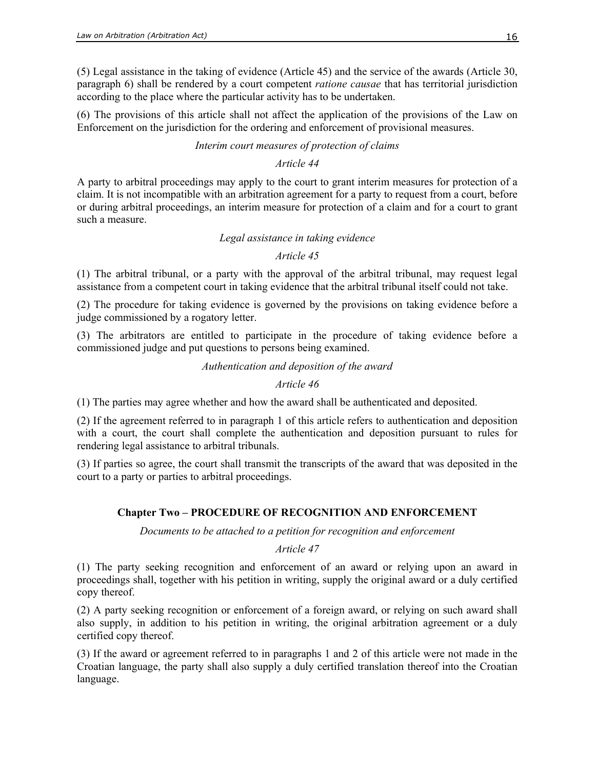(5) Legal assistance in the taking of evidence (Article 45) and the service of the awards (Article 30, paragraph 6) shall be rendered by a court competent *ratione causae* that has territorial jurisdiction according to the place where the particular activity has to be undertaken.

(6) The provisions of this article shall not affect the application of the provisions of the Law on Enforcement on the jurisdiction for the ordering and enforcement of provisional measures.

## Interim court measures of protection of claims

## Article 44

A party to arbitral proceedings may apply to the court to grant interim measures for protection of a claim. It is not incompatible with an arbitration agreement for a party to request from a court, before or during arbitral proceedings, an interim measure for protection of a claim and for a court to grant such a measure.

## Legal assistance in taking evidence

## Article 45

(1) The arbitral tribunal, or a party with the approval of the arbitral tribunal, may request legal assistance from a competent court in taking evidence that the arbitral tribunal itself could not take.

(2) The procedure for taking evidence is governed by the provisions on taking evidence before a judge commissioned by a rogatory letter.

(3) The arbitrators are entitled to participate in the procedure of taking evidence before a commissioned judge and put questions to persons being examined.

### Authentication and deposition of the award

Article 46

(1) The parties may agree whether and how the award shall be authenticated and deposited.

(2) If the agreement referred to in paragraph 1 of this article refers to authentication and deposition with a court, the court shall complete the authentication and deposition pursuant to rules for rendering legal assistance to arbitral tribunals.

(3) If parties so agree, the court shall transmit the transcripts of the award that was deposited in the court to a party or parties to arbitral proceedings.

## Chapter Two – PROCEDURE OF RECOGNITION AND ENFORCEMENT

Documents to be attached to a petition for recognition and enforcement

Article 47

(1) The party seeking recognition and enforcement of an award or relying upon an award in proceedings shall, together with his petition in writing, supply the original award or a duly certified copy thereof.

(2) A party seeking recognition or enforcement of a foreign award, or relying on such award shall also supply, in addition to his petition in writing, the original arbitration agreement or a duly certified copy thereof.

(3) If the award or agreement referred to in paragraphs 1 and 2 of this article were not made in the Croatian language, the party shall also supply a duly certified translation thereof into the Croatian language.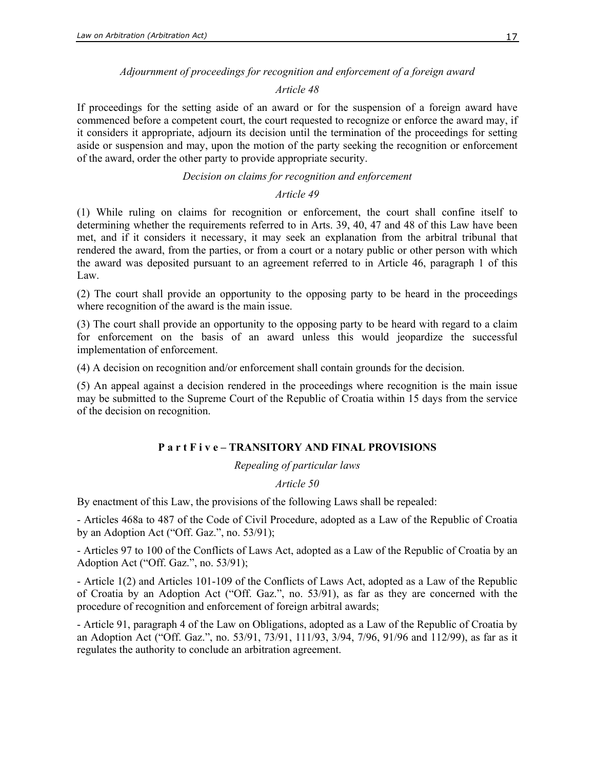Adjournment of proceedings for recognition and enforcement of a foreign award

## Article 48

If proceedings for the setting aside of an award or for the suspension of a foreign award have commenced before a competent court, the court requested to recognize or enforce the award may, if it considers it appropriate, adjourn its decision until the termination of the proceedings for setting aside or suspension and may, upon the motion of the party seeking the recognition or enforcement of the award, order the other party to provide appropriate security.

## Decision on claims for recognition and enforcement

## Article 49

(1) While ruling on claims for recognition or enforcement, the court shall confine itself to determining whether the requirements referred to in Arts. 39, 40, 47 and 48 of this Law have been met, and if it considers it necessary, it may seek an explanation from the arbitral tribunal that rendered the award, from the parties, or from a court or a notary public or other person with which the award was deposited pursuant to an agreement referred to in Article 46, paragraph 1 of this Law.

(2) The court shall provide an opportunity to the opposing party to be heard in the proceedings where recognition of the award is the main issue.

(3) The court shall provide an opportunity to the opposing party to be heard with regard to a claim for enforcement on the basis of an award unless this would jeopardize the successful implementation of enforcement.

(4) A decision on recognition and/or enforcement shall contain grounds for the decision.

(5) An appeal against a decision rendered in the proceedings where recognition is the main issue may be submitted to the Supreme Court of the Republic of Croatia within 15 days from the service of the decision on recognition.

## P a r t F i v e – TRANSITORY AND FINAL PROVISIONS

### Repealing of particular laws

### Article 50

By enactment of this Law, the provisions of the following Laws shall be repealed:

- Articles 468a to 487 of the Code of Civil Procedure, adopted as a Law of the Republic of Croatia by an Adoption Act ("Off. Gaz.", no. 53/91);

- Articles 97 to 100 of the Conflicts of Laws Act, adopted as a Law of the Republic of Croatia by an Adoption Act ("Off. Gaz.", no. 53/91);

- Article 1(2) and Articles 101-109 of the Conflicts of Laws Act, adopted as a Law of the Republic of Croatia by an Adoption Act ("Off. Gaz.", no. 53/91), as far as they are concerned with the procedure of recognition and enforcement of foreign arbitral awards;

- Article 91, paragraph 4 of the Law on Obligations, adopted as a Law of the Republic of Croatia by an Adoption Act ("Off. Gaz.", no. 53/91, 73/91, 111/93, 3/94, 7/96, 91/96 and 112/99), as far as it regulates the authority to conclude an arbitration agreement.